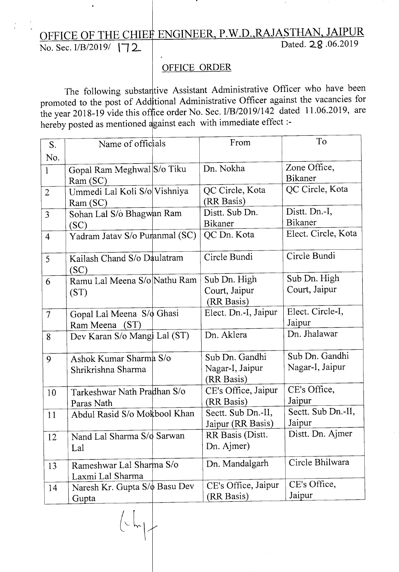## OFFICE OF THE CHIEF ENGINEER, P.W.D.,RAJASTHAN, JAIPUR No. Sec. I/B/2019/ **| 72** Dated. 2.g .06.2019

## OFFICE ORDER

The following substart ive Assistant Administrative Officer who have been promoted to the post of Add tional Administrative Officer against the vacancies for the year 2018-19 vide this of fice order No. Sec. I/B/2019/142 dated 11.06.2019, are hereby posted as mentioned against each with immediate effect :-

| S.             | Name of officials                   | From                 | To                  |
|----------------|-------------------------------------|----------------------|---------------------|
| No.            |                                     |                      |                     |
| $\mathbf{1}$   | Gopal Ram Meghwal S/o Tiku          | Dn. Nokha            | Zone Office,        |
|                | Ram(SC)                             |                      | Bikaner             |
| $\overline{2}$ | Ummedi Lal Koli S/o Vishniya        | QC Circle, Kota      | QC Circle, Kota     |
|                | Ram (SC)                            | (RR Basis)           |                     |
| $\overline{3}$ | Sohan Lal S/o Bhagwan Ram           | Distt. Sub Dn.       | Distt. Dn.-I,       |
|                | (SC)                                | <b>Bikaner</b>       | <b>Bikaner</b>      |
| $\overline{4}$ | Yadram Jatav S/o Puranmal (SC)      | QC Dn. Kota          | Elect. Circle, Kota |
| 5              | Kailash Chand S/o Daulatram         | Circle Bundi         | Circle Bundi        |
|                | (SC)                                |                      |                     |
| 6              | Ramu Lal Meena S/o Nathu Ram        | Sub Dn. High         | Sub Dn. High        |
|                | (ST)                                | Court, Jaipur        | Court, Jaipur       |
|                |                                     | (RR Basis)           |                     |
| $\overline{7}$ | Gopal Lal Meena S/o Ghasi           | Elect. Dn.-I, Jaipur | Elect. Circle-I,    |
|                | Ram Meena (ST)                      |                      | Jaipur              |
| 8              | Dev Karan S/o Mangl Lal (ST)        | Dn. Aklera           | Dn. Jhalawar        |
| 9              | Ashok Kumar Sharma S/o              | Sub Dn. Gandhi       | Sub Dn. Gandhi      |
|                | Shrikrishna Sharma                  | Nagar-I, Jaipur      | Nagar-I, Jaipur     |
|                |                                     | (RR Basis)           |                     |
| 10             | Tarkeshwar Nath Pradhan S/o         | CE's Office, Jaipur  | CE's Office,        |
|                | Paras Nath                          | (RR Basis)           | Jaipur              |
| 11             | Abdul Rasid S/o Mokbool Khan        | Sectt. Sub Dn.-II,   | Sectt. Sub Dn.-II,  |
|                |                                     | Jaipur (RR Basis)    | Jaipur              |
| 12             | Nand Lal Sharma S/d Sarwan          | RR Basis (Distt.     | Distt. Dn. Ajmer    |
|                | Lal                                 | Dn. Ajmer)           |                     |
| 13             | Rameshwar Lal Sharma S/o            | Dn. Mandalgarh       | Circle Bhilwara     |
|                | Laxmi Lal Sharma                    |                      |                     |
| 14             | Naresh Kr. Gupta S/ $\phi$ Basu Dev | CE's Office, Jaipur  | CE's Office,        |
|                | Gupta                               | (RR Basis)           | Jaipur              |
|                |                                     |                      |                     |

 $($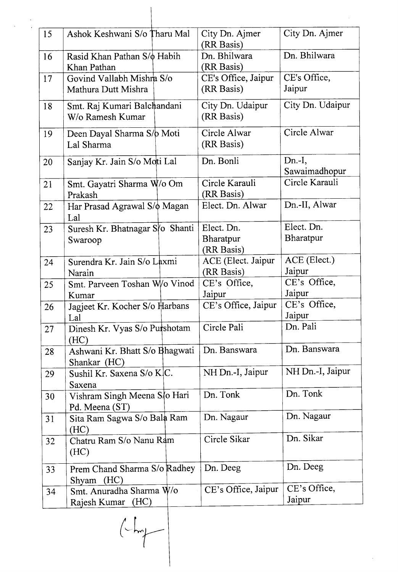| 15 | Ashok Keshwani S/o Tharu Mal                     | City Dn. Ajmer<br>(RR Basis)          | City Dn. Ajmer            |
|----|--------------------------------------------------|---------------------------------------|---------------------------|
| 16 | Rasid Khan Pathan S/ bHabih<br>Khan Pathan       | Dn. Bhilwara<br>(RR Basis)            | Dn. Bhilwara              |
| 17 | Govind Vallabh Mishra S/o<br>Mathura Dutt Mishra | CE's Office, Jaipur<br>(RR Basis)     | CE's Office,<br>Jaipur    |
| 18 | Smt. Raj Kumari Balchandani<br>W/o Ramesh Kumar  | City Dn. Udaipur<br>(RR Basis)        | City Dn. Udaipur          |
| 19 | Deen Dayal Sharma S/p Moti<br>Lal Sharma         | Circle Alwar<br>(RR Basis)            | Circle Alwar              |
| 20 | Sanjay Kr. Jain S/o Moti Lal                     | Dn. Bonli                             | $Dn.-I,$<br>Sawaimadhopur |
| 21 | Smt. Gayatri Sharma W/o Om<br>Prakash            | Circle Karauli<br>(RR Basis)          | Circle Karauli            |
| 22 | Har Prasad Agrawal S/ $\phi$ Magan<br>Lal        | Elect. Dn. Alwar                      | Dn.-II, Alwar             |
| 23 | Suresh Kr. Bhatnagar S/o Shanti<br>Swaroop       | Elect. Dn.<br>Bharatpur<br>(RR Basis) | Elect. Dn.<br>Bharatpur   |
| 24 | Surendra Kr. Jain S/o Laxmi<br>Narain            | ACE (Elect. Jaipur<br>(RR Basis)      | ACE (Elect.)<br>Jaipur    |
| 25 | Smt. Parveen Toshan W/o Vinod<br>Kumar           | CE's Office,<br>Jaipur                | CE's Office,<br>Jaipur    |
| 26 | Jagjeet Kr. Kocher S/o Harbans<br>Lal            | CE's Office, Jaipur                   | CE's Office,<br>Jaipur    |
| 27 | Dinesh Kr. Vyas S/o Purshotam<br>(HC)            | Circle Pali                           | Dn. Pali                  |
| 28 | Ashwani Kr. Bhatt S/o Bhagwati<br>Shankar (HC)   | Dn. Banswara                          | Dn. Banswara              |
| 29 | Sushil Kr. Saxena S/o K C.<br>Saxena             | NH Dn.-I, Jaipur                      | NH Dn.-I, Jaipur          |
| 30 | Vishram Singh Meena S/o Hari<br>Pd. Meena (ST)   | Dn. Tonk                              | Dn. Tonk                  |
| 31 | Sita Ram Sagwa S/o Bala Ram<br>(HC)              | Dn. Nagaur                            | Dn. Nagaur                |
| 32 | Chatru Ram S/o Nanu Ram<br>(HC)                  | Circle Sikar                          | Dn. Sikar                 |
| 33 | Prem Chand Sharma S/o Radhey<br>(HC)<br>Shyam    | Dn. Deeg                              | Dn. Deeg                  |
| 34 | Smt. Anuradha Sharma W/o<br>(HC)<br>Rajesh Kumar | CE's Office, Jaipur                   | CE's Office,<br>Jaipur    |

 $\sim$ 

 $\mathcal{A}^{\mathcal{A}}$ 

 $\begin{picture}(220,20) \put(0,0){\line(1,0){10}} \put(15,0){\line(1,0){10}} \put(15,0){\line(1,0){10}} \put(15,0){\line(1,0){10}} \put(15,0){\line(1,0){10}} \put(15,0){\line(1,0){10}} \put(15,0){\line(1,0){10}} \put(15,0){\line(1,0){10}} \put(15,0){\line(1,0){10}} \put(15,0){\line(1,0){10}} \put(15,0){\line(1,0){10}} \put(15,0){\line($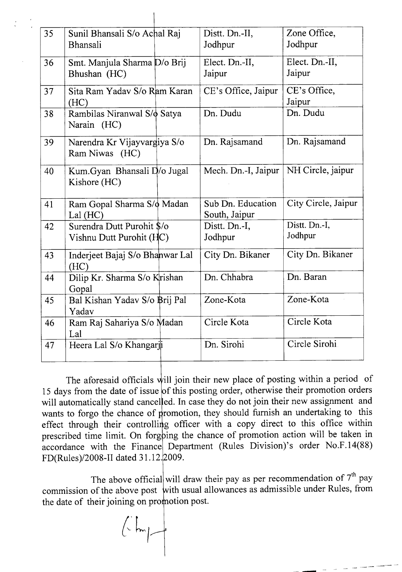| 35 | Sunil Bhansali S/o Achal Raj                   | Distt. Dn.-II,      | Zone Office,        |
|----|------------------------------------------------|---------------------|---------------------|
|    | Bhansali                                       | Jodhpur             | Jodhpur             |
| 36 | Smt. Manjula Sharma D/o Brij                   | Elect. Dn.-II,      | Elect. Dn.-II,      |
|    | Bhushan (HC)                                   | Jaipur              | Jaipur              |
| 37 | Sita Ram Yaday S/o Ram Karan                   | CE's Office, Jaipur | CE's Office,        |
|    | (HC)                                           |                     | Jaipur              |
| 38 | Rambilas Niranwal S/ Satya<br>Narain (HC)      | Dn. Dudu            | Dn. Dudu            |
| 39 | Narendra Kr Vijayvargiya S/o<br>Ram Niwas (HC) | Dn. Rajsamand       | Dn. Rajsamand       |
| 40 | Kum.Gyan Bhansali D/o Jugal<br>Kishore (HC)    | Mech. Dn.-I, Jaipur | NH Circle, jaipur   |
| 41 | Ram Gopal Sharma S/o Madan                     | Sub Dn. Education   | City Circle, Jaipur |
|    | Lal $(HC)$                                     | South, Jaipur       |                     |
| 42 | Surendra Dutt Purohit \$/o                     | Distt. Dn.-I,       | Distt. Dn.-I,       |
|    | Vishnu Dutt Purohit (HC)                       | Jodhpur             | Jodhpur             |
| 43 | Inderjeet Bajaj S/o Bhanwar Lal<br>(HC)        | City Dn. Bikaner    | City Dn. Bikaner    |
| 44 | Dilip Kr. Sharma S/o Krishan<br>Gopal          | Dn. Chhabra         | Dn. Baran           |
| 45 | Bal Kishan Yadav S/o Brij Pal<br>Yadav         | Zone-Kota           | Zone-Kota           |
| 46 | Ram Raj Sahariya S/o Madan<br>Lal              | Circle Kota         | Circle Kota         |
| 47 | Heera Lal S/o Khangarji                        | Dn. Sirohi          | Circle Sirohi.      |

The aforesaid officials will join their new place of posting within a period of 15 days from the date of issue of this posting order, otherwise their promotion orders will automatically stand cancelled. In case they do not join their new assignment and wants to forgo the chance of promotion, they should furnish an undertaking to this effect through their controlling officer with a copy direct to this office within prescribed time limit. On forgoing the chance of promotion action will be taken in accordance with the Finance Department (Rules Division)'s order No.F.14(88) FD(Rules)/2008-II dated 31.12.2009.

The above official will draw their pay as per recommendation of  $7<sup>th</sup>$  pay commission of the above post with usual allowances as admissible under Rules, from the date of their joining on promotion post.

 $\left(\frac{1}{2}m\right)$